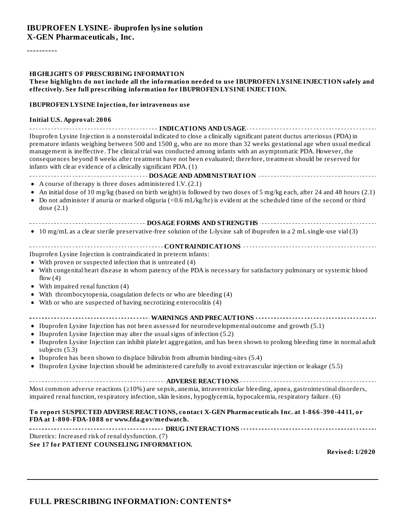#### **IBUPROFEN LYSINE- ibuprofen lysine solution X-GEN Pharmaceuticals, Inc.**

----------

#### **HIGHLIGHTS OF PRESCRIBING INFORMATION**

#### **These highlights do not include all the information needed to use IBUPROFEN LYSINE INJECTION safely and effectively. See full prescribing information for IBUPROFEN LYSINE INJECTION.**

#### **IBUPROFEN LYSINE Injection, for intravenous use**

#### **Initial U.S. Approval: 2006**

| Ibuprofen Lysine Injection is a nonsteroidal indicated to close a clinically significant patent ductus arteriosus (PDA) in<br>premature infants weighing between 500 and 1500 g, who are no more than 32 weeks gestational age when usual medical<br>management is ineffective. The clinical trial was conducted among infants with an asymptomatic PDA. However, the<br>consequences beyond 8 weeks after treatment have not been evaluated; therefore, treatment should be reserved for<br>infants with clear evidence of a clinically significant PDA. (1) |
|---------------------------------------------------------------------------------------------------------------------------------------------------------------------------------------------------------------------------------------------------------------------------------------------------------------------------------------------------------------------------------------------------------------------------------------------------------------------------------------------------------------------------------------------------------------|
|                                                                                                                                                                                                                                                                                                                                                                                                                                                                                                                                                               |
| • A course of therapy is three doses administered I.V. (2.1)                                                                                                                                                                                                                                                                                                                                                                                                                                                                                                  |
| An initial dose of 10 mg/kg (based on birth weight) is followed by two doses of 5 mg/kg each, after 24 and 48 hours (2.1)<br>• Do not administer if anuria or marked oliguria (<0.6 mL/kg/hr) is evident at the scheduled time of the second or third<br>dose $(2.1)$                                                                                                                                                                                                                                                                                         |
| -------------------------- DOSAGE FORMS AND STRENGT HS ------------------------------                                                                                                                                                                                                                                                                                                                                                                                                                                                                         |
| • 10 mg/mL as a clear sterile preservative-free solution of the L-lysine salt of ibuprofen in a 2 mL single-use vial (3)                                                                                                                                                                                                                                                                                                                                                                                                                                      |
|                                                                                                                                                                                                                                                                                                                                                                                                                                                                                                                                                               |
| Ibuprofen Lysine Injection is contraindicated in preterm infants:                                                                                                                                                                                                                                                                                                                                                                                                                                                                                             |
| • With proven or suspected infection that is untreated (4)                                                                                                                                                                                                                                                                                                                                                                                                                                                                                                    |
| • With congenital heart disease in whom patency of the PDA is necessary for satisfactory pulmonary or systemic blood<br>flow $(4)$                                                                                                                                                                                                                                                                                                                                                                                                                            |
| $\bullet$ With impaired renal function (4)                                                                                                                                                                                                                                                                                                                                                                                                                                                                                                                    |
| With thrombocytopenia, coagulation defects or who are bleeding (4)                                                                                                                                                                                                                                                                                                                                                                                                                                                                                            |
| • With or who are suspected of having necrotizing enterocolitis (4)                                                                                                                                                                                                                                                                                                                                                                                                                                                                                           |
|                                                                                                                                                                                                                                                                                                                                                                                                                                                                                                                                                               |
| • Ibuprofen Lysine Injection has not been assessed for neurodevelopmental outcome and growth (5.1)                                                                                                                                                                                                                                                                                                                                                                                                                                                            |
| Ibuprofen Lysine Injection may alter the usual signs of infection (5.2)                                                                                                                                                                                                                                                                                                                                                                                                                                                                                       |
| • Ibuprofen Lysine Injection can inhibit platelet aggregation, and has been shown to prolong bleeding time in normal adult<br>subjects (5.3)                                                                                                                                                                                                                                                                                                                                                                                                                  |
| • Ibuprofen has been shown to displace bilirubin from albumin binding-sites (5.4)                                                                                                                                                                                                                                                                                                                                                                                                                                                                             |
| Ibuprofen Lysine Injection should be administered carefully to avoid extravascular injection or leakage (5.5)                                                                                                                                                                                                                                                                                                                                                                                                                                                 |
|                                                                                                                                                                                                                                                                                                                                                                                                                                                                                                                                                               |
| Most common adverse reactions ( $\geq$ 10%) are sepsis, anemia, intraventricular bleeding, apnea, gastrointestinal disorders,<br>impaired renal function, respiratory infection, skin lesions, hypoglycemia, hypocalcemia, respiratory failure. (6)                                                                                                                                                                                                                                                                                                           |
| To report SUSPECTED ADVERSE REACTIONS, contact X-GEN Pharmaceuticals Inc. at 1-866-390-4411, or<br>FDA at 1-800-FDA-1088 or www.fda.gov/medwatch.                                                                                                                                                                                                                                                                                                                                                                                                             |
|                                                                                                                                                                                                                                                                                                                                                                                                                                                                                                                                                               |
| Diuretics: Increased risk of renal dysfunction. (7)                                                                                                                                                                                                                                                                                                                                                                                                                                                                                                           |
| See 17 for PATIENT COUNSELING INFORMATION.<br><b>Revised: 1/2020</b>                                                                                                                                                                                                                                                                                                                                                                                                                                                                                          |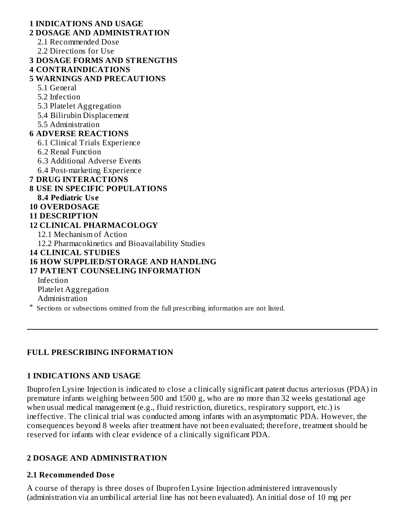### **1 INDICATIONS AND USAGE 2 DOSAGE AND ADMINISTRATION** 2.1 Recommended Dose 2.2 Directions for Use **3 DOSAGE FORMS AND STRENGTHS 4 CONTRAINDICATIONS 5 WARNINGS AND PRECAUTIONS** 5.1 General 5.2 Infection 5.3 Platelet Aggregation 5.4 Bilirubin Displacement 5.5 Administration **6 ADVERSE REACTIONS** 6.1 Clinical Trials Experience 6.2 Renal Function 6.3 Additional Adverse Events 6.4 Post-marketing Experience **7 DRUG INTERACTIONS 8 USE IN SPECIFIC POPULATIONS 8.4 Pediatric Us e 10 OVERDOSAGE 11 DESCRIPTION 12 CLINICAL PHARMACOLOGY** 12.1 Mechanism of Action 12.2 Pharmacokinetics and Bioavailability Studies **14 CLINICAL STUDIES 16 HOW SUPPLIED/STORAGE AND HANDLING 17 PATIENT COUNSELING INFORMATION** Infection Platelet Aggregation Administration \* Sections or subsections omitted from the full prescribing information are not listed.

## **FULL PRESCRIBING INFORMATION**

## **1 INDICATIONS AND USAGE**

Ibuprofen Lysine Injection is indicated to close a clinically significant patent ductus arteriosus (PDA) in premature infants weighing between 500 and 1500 g, who are no more than 32 weeks gestational age when usual medical management (e.g., fluid restriction, diuretics, respiratory support, etc.) is ineffective. The clinical trial was conducted among infants with an asymptomatic PDA. However, the consequences beyond 8 weeks after treatment have not been evaluated; therefore, treatment should be reserved for infants with clear evidence of a clinically significant PDA.

## **2 DOSAGE AND ADMINISTRATION**

## **2.1 Recommended Dos e**

A course of therapy is three doses of Ibuprofen Lysine Injection administered intravenously (administration via an umbilical arterial line has not been evaluated). An initial dose of 10 mg per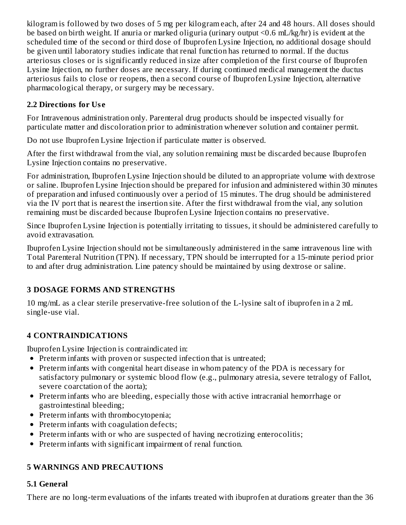kilogram is followed by two doses of 5 mg per kilogram each, after 24 and 48 hours. All doses should be based on birth weight. If anuria or marked oliguria (urinary output <0.6 mL/kg/hr) is evident at the scheduled time of the second or third dose of Ibuprofen Lysine Injection, no additional dosage should be given until laboratory studies indicate that renal function has returned to normal. If the ductus arteriosus closes or is significantly reduced in size after completion of the first course of Ibuprofen Lysine Injection, no further doses are necessary. If during continued medical management the ductus arteriosus fails to close or reopens, then a second course of Ibuprofen Lysine Injection, alternative pharmacological therapy, or surgery may be necessary.

## **2.2 Directions for Us e**

For Intravenous administration only. Parenteral drug products should be inspected visually for particulate matter and discoloration prior to administration whenever solution and container permit.

Do not use Ibuprofen Lysine Injection if particulate matter is observed.

After the first withdrawal from the vial, any solution remaining must be discarded because Ibuprofen Lysine Injection contains no preservative.

For administration, Ibuprofen Lysine Injection should be diluted to an appropriate volume with dextrose or saline. Ibuprofen Lysine Injection should be prepared for infusion and administered within 30 minutes of preparation and infused continuously over a period of 15 minutes. The drug should be administered via the IV port that is nearest the insertion site. After the first withdrawal from the vial, any solution remaining must be discarded because Ibuprofen Lysine Injection contains no preservative.

Since Ibuprofen Lysine Injection is potentially irritating to tissues, it should be administered carefully to avoid extravasation.

Ibuprofen Lysine Injection should not be simultaneously administered in the same intravenous line with Total Parenteral Nutrition (TPN). If necessary, TPN should be interrupted for a 15-minute period prior to and after drug administration. Line patency should be maintained by using dextrose or saline.

# **3 DOSAGE FORMS AND STRENGTHS**

10 mg/mL as a clear sterile preservative-free solution of the L-lysine salt of ibuprofen in a 2 mL single-use vial.

# **4 CONTRAINDICATIONS**

Ibuprofen Lysine Injection is contraindicated in:

- Preterm infants with proven or suspected infection that is untreated;
- Preterm infants with congenital heart disease in whom patency of the PDA is necessary for satisfactory pulmonary or systemic blood flow (e.g., pulmonary atresia, severe tetralogy of Fallot, severe coarctation of the aorta);
- Preterm infants who are bleeding, especially those with active intracranial hemorrhage or gastrointestinal bleeding;
- Preterm infants with thrombocytopenia;
- Preterm infants with coagulation defects;
- Preterm infants with or who are suspected of having necrotizing enterocolitis;
- Preterm infants with significant impairment of renal function.

# **5 WARNINGS AND PRECAUTIONS**

# **5.1 General**

There are no long-term evaluations of the infants treated with ibuprofen at durations greater than the 36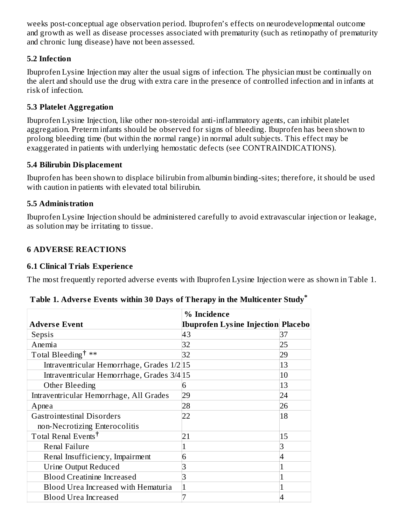weeks post-conceptual age observation period. Ibuprofen's effects on neurodevelopmental outcome and growth as well as disease processes associated with prematurity (such as retinopathy of prematurity and chronic lung disease) have not been assessed.

### **5.2 Infection**

Ibuprofen Lysine Injection may alter the usual signs of infection. The physician must be continually on the alert and should use the drug with extra care in the presence of controlled infection and in infants at risk of infection.

### **5.3 Platelet Aggregation**

Ibuprofen Lysine Injection, like other non-steroidal anti-inflammatory agents, can inhibit platelet aggregation. Preterm infants should be observed for signs of bleeding. Ibuprofen has been shown to prolong bleeding time (but within the normal range) in normal adult subjects. This effect may be exaggerated in patients with underlying hemostatic defects (see CONTRAINDICATIONS).

### **5.4 Bilirubin Displacement**

Ibuprofen has been shown to displace bilirubin from albumin binding-sites; therefore, it should be used with caution in patients with elevated total bilirubin.

### **5.5 Administration**

Ibuprofen Lysine Injection should be administered carefully to avoid extravascular injection or leakage, as solution may be irritating to tissue.

### **6 ADVERSE REACTIONS**

### **6.1 Clinical Trials Experience**

The most frequently reported adverse events with Ibuprofen Lysine Injection were as shown in Table 1.

|                                            | % Incidence                               |    |
|--------------------------------------------|-------------------------------------------|----|
| <b>Adverse Event</b>                       | <b>Ibuprofen Lysine Injection Placebo</b> |    |
| Sepsis                                     | 43                                        | 37 |
| Anemia                                     | 32                                        | 25 |
| Total Bleeding <sup>†</sup> **             | 32                                        | 29 |
| Intraventricular Hemorrhage, Grades 1/2 15 |                                           | 13 |
| Intraventricular Hemorrhage, Grades 3/4 15 |                                           | 10 |
| Other Bleeding                             | 6                                         | 13 |
| Intraventricular Hemorrhage, All Grades    | 29                                        | 24 |
| Apnea                                      | 28                                        | 26 |
| <b>Gastrointestinal Disorders</b>          | 22                                        | 18 |
| non-Necrotizing Enterocolitis              |                                           |    |
| Total Renal Events <sup>†</sup>            | 21                                        | 15 |
| <b>Renal Failure</b>                       |                                           | 3  |
| Renal Insufficiency, Impairment            | b                                         | 4  |
| Urine Output Reduced                       |                                           |    |
| <b>Blood Creatinine Increased</b>          |                                           |    |
| Blood Urea Increased with Hematuria        |                                           |    |
| <b>Blood Urea Increased</b>                |                                           |    |

| Table 1. Adverse Events within 30 Days of Therapy in the Multicenter Study* |  |  |
|-----------------------------------------------------------------------------|--|--|
|-----------------------------------------------------------------------------|--|--|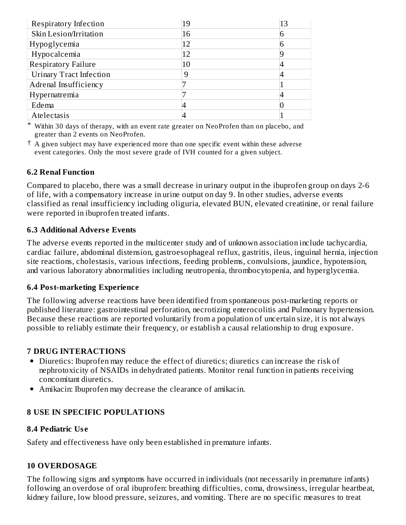| Respiratory Infection          | 19 | 13 |
|--------------------------------|----|----|
| Skin Lesion/Irritation         | 16 |    |
| Hypoglycemia                   | 12 |    |
| Hypocalcemia                   | 12 |    |
| <b>Respiratory Failure</b>     | 10 |    |
| <b>Urinary Tract Infection</b> | 9  |    |
| Adrenal Insufficiency          |    |    |
| Hypernatremia                  |    |    |
| Edema                          |    |    |
| Atelectasis                    |    |    |

\* Within 30 days of therapy, with an event rate greater on NeoProfen than on placebo, and greater than 2 events on NeoProfen.

 $^\dagger$  A given subject may have experienced more than one specific event within these adverse event categories. Only the most severe grade of IVH counted for a given subject.

### **6.2 Renal Function**

Compared to placebo, there was a small decrease in urinary output in the ibuprofen group on days 2-6 of life, with a compensatory increase in urine output on day 9. In other studies, adverse events classified as renal insufficiency including oliguria, elevated BUN, elevated creatinine, or renal failure were reported in ibuprofen treated infants.

#### **6.3 Additional Advers e Events**

The adverse events reported in the multicenter study and of unknown association include tachycardia, cardiac failure, abdominal distension, gastroesophageal reflux, gastritis, ileus, inguinal hernia, injection site reactions, cholestasis, various infections, feeding problems, convulsions, jaundice, hypotension, and various laboratory abnormalities including neutropenia, thrombocytopenia, and hyperglycemia.

#### **6.4 Post-marketing Experience**

The following adverse reactions have been identified from spontaneous post-marketing reports or published literature: gastrointestinal perforation, necrotizing enterocolitis and Pulmonary hypertension. Because these reactions are reported voluntarily from a population of uncertain size, it is not always possible to reliably estimate their frequency, or establish a causal relationship to drug exposure.

#### **7 DRUG INTERACTIONS**

- Diuretics: Ibuprofen may reduce the effect of diuretics; diuretics can increase the risk of nephrotoxicity of NSAIDs in dehydrated patients. Monitor renal function in patients receiving concomitant diuretics.
- Amikacin: Ibuprofen may decrease the clearance of amikacin.

### **8 USE IN SPECIFIC POPULATIONS**

#### **8.4 Pediatric Us e**

Safety and effectiveness have only been established in premature infants.

#### **10 OVERDOSAGE**

The following signs and symptoms have occurred in individuals (not necessarily in premature infants) following an overdose of oral ibuprofen: breathing difficulties, coma, drowsiness, irregular heartbeat, kidney failure, low blood pressure, seizures, and vomiting. There are no specific measures to treat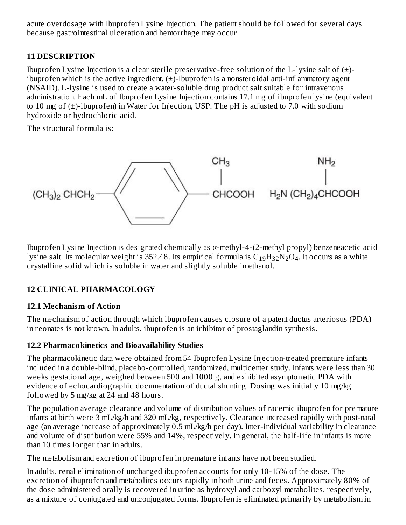acute overdosage with Ibuprofen Lysine Injection. The patient should be followed for several days because gastrointestinal ulceration and hemorrhage may occur.

## **11 DESCRIPTION**

Ibuprofen Lysine Injection is a clear sterile preservative-free solution of the L-lysine salt of  $(\pm)$ ibuprofen which is the active ingredient.  $(\pm)$ -Ibuprofen is a nonsteroidal anti-inflammatory agent (NSAID). L-lysine is used to create a water-soluble drug product salt suitable for intravenous administration. Each mL of Ibuprofen Lysine Injection contains 17.1 mg of ibuprofen lysine (equivalent to 10 mg of  $(\pm)$ -ibuprofen) in Water for Injection, USP. The pH is adjusted to 7.0 with sodium hydroxide or hydrochloric acid.

The structural formula is:

$$
\begin{array}{c}\n\text{CH}_3 \\
\text{CH}_3\text{CHE1}_2\n\end{array}
$$

Ibuprofen Lysine Injection is designated chemically as α-methyl-4-(2-methyl propyl) benzeneacetic acid lysine salt. Its molecular weight is 352.48. Its empirical formula is  $\rm{C_{19}H_{32}N_2O_4}$ . It occurs as a white crystalline solid which is soluble in water and slightly soluble in ethanol.

# **12 CLINICAL PHARMACOLOGY**

## **12.1 Mechanism of Action**

The mechanism of action through which ibuprofen causes closure of a patent ductus arteriosus (PDA) in neonates is not known. In adults, ibuprofen is an inhibitor of prostaglandin synthesis.

## **12.2 Pharmacokinetics and Bioavailability Studies**

The pharmacokinetic data were obtained from 54 Ibuprofen Lysine Injection-treated premature infants included in a double-blind, placebo-controlled, randomized, multicenter study. Infants were less than 30 weeks gestational age, weighed between 500 and 1000 g, and exhibited asymptomatic PDA with evidence of echocardiographic documentation of ductal shunting. Dosing was initially 10 mg/kg followed by 5 mg/kg at 24 and 48 hours.

The population average clearance and volume of distribution values of racemic ibuprofen for premature infants at birth were 3 mL/kg/h and 320 mL/kg, respectively. Clearance increased rapidly with post-natal age (an average increase of approximately 0.5 mL/kg/h per day). Inter-individual variability in clearance and volume of distribution were 55% and 14%, respectively. In general, the half-life in infants is more than 10 times longer than in adults.

The metabolism and excretion of ibuprofen in premature infants have not been studied.

In adults, renal elimination of unchanged ibuprofen accounts for only 10-15% of the dose. The excretion of ibuprofen and metabolites occurs rapidly in both urine and feces. Approximately 80% of the dose administered orally is recovered in urine as hydroxyl and carboxyl metabolites, respectively, as a mixture of conjugated and unconjugated forms. Ibuprofen is eliminated primarily by metabolism in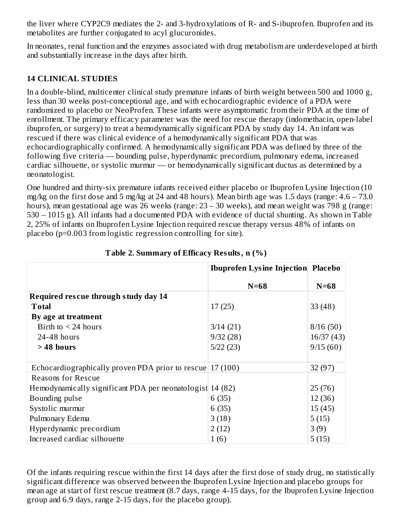the liver where CYP2C9 mediates the 2- and 3-hydroxylations of R- and S-ibuprofen. Ibuprofen and its metabolites are further conjugated to acyl glucuronides.

In neonates, renal function and the enzymes associated with drug metabolism are underdeveloped at birth and substantially increase in the days after birth.

### **14 CLINICAL STUDIES**

In a double-blind, multicenter clinical study premature infants of birth weight between 500 and 1000 g, less than 30 weeks post-conceptional age, and with echocardiographic evidence of a PDA were randomized to placebo or NeoProfen. These infants were asymptomatic from their PDA at the time of enrollment. The primary efficacy parameter was the need for rescue therapy (indomethacin, open-label ibuprofen, or surgery) to treat a hemodynamically significant PDA by study day 14. An infant was rescued if there was clinical evidence of a hemodynamically significant PDA that was echocardiographically confirmed. A hemodynamically significant PDA was defined by three of the following five criteria ― bounding pulse, hyperdynamic precordium, pulmonary edema, increased cardiac silhouette, or systolic murmur ― or hemodynamically significant ductus as determined by a neonatologist.

One hundred and thirty-six premature infants received either placebo or Ibuprofen Lysine Injection (10 mg/kg on the first dose and 5 mg/kg at 24 and 48 hours). Mean birth age was 1.5 days (range: 4.6 – 73.0 hours), mean gestational age was 26 weeks (range: 23 – 30 weeks), and mean weight was 798 g (range: 530 – 1015 g). All infants had a documented PDA with evidence of ductal shunting. As shown in Table 2, 25% of infants on Ibuprofen Lysine Injection required rescue therapy versus 48% of infants on placebo (p=0.003 from logistic regression controlling for site).

|                                                           | <b>Ibuprofen Lysine Injection Placebo</b> |           |
|-----------------------------------------------------------|-------------------------------------------|-----------|
|                                                           | $N=68$                                    | $N=68$    |
| Required rescue through study day 14                      |                                           |           |
| <b>T</b> otal                                             | 17(25)                                    | 33(48)    |
| By age at treatment                                       |                                           |           |
| Birth to $\leq$ 24 hours                                  | 3/14(21)                                  | 8/16(50)  |
| $24-48$ hours                                             | 9/32(28)                                  | 16/37(43) |
| $>48$ hours                                               | 5/22(23)                                  | 9/15(60)  |
|                                                           |                                           |           |
| Echocardiographically proven PDA prior to rescue 17 (100) |                                           | 32(97)    |
| Reasons for Rescue                                        |                                           |           |
| Hemodynamically significant PDA per neonatologist 14 (82) |                                           | 25(76)    |
| Bounding pulse                                            | 6(35)                                     | 12(36)    |
| Systolic murmur                                           | 6(35)                                     | 15(45)    |
| Pulmonary Edema                                           | 3(18)                                     | 5(15)     |
| Hyperdynamic precordium                                   | 2(12)                                     | 3(9)      |
| Increased cardiac silhouette                              | 1(6)                                      | 5(15)     |

|  |  | Table 2. Summary of Efficacy Results, n (%) |  |  |  |
|--|--|---------------------------------------------|--|--|--|
|--|--|---------------------------------------------|--|--|--|

Of the infants requiring rescue within the first 14 days after the first dose of study drug, no statistically significant difference was observed between the Ibuprofen Lysine Injection and placebo groups for mean age at start of first rescue treatment (8.7 days, range 4-15 days, for the Ibuprofen Lysine Injection group and 6.9 days, range 2-15 days, for the placebo group).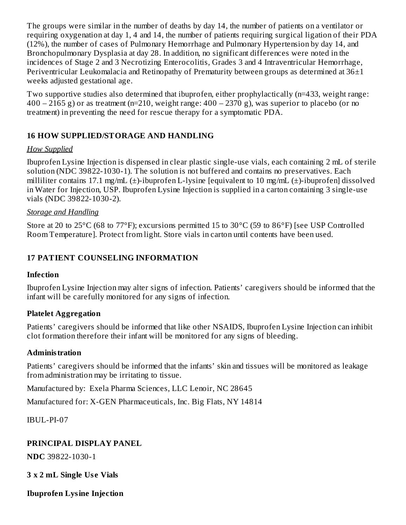The groups were similar in the number of deaths by day 14, the number of patients on a ventilator or requiring oxygenation at day 1, 4 and 14, the number of patients requiring surgical ligation of their PDA (12%), the number of cases of Pulmonary Hemorrhage and Pulmonary Hypertension by day 14, and Bronchopulmonary Dysplasia at day 28. In addition, no significant differences were noted in the incidences of Stage 2 and 3 Necrotizing Enterocolitis, Grades 3 and 4 Intraventricular Hemorrhage, Periventricular Leukomalacia and Retinopathy of Prematurity between groups as determined at 36±1 weeks adjusted gestational age.

Two supportive studies also determined that ibuprofen, either prophylactically (n=433, weight range:  $400 - 2165$  g) or as treatment (n=210, weight range:  $400 - 2370$  g), was superior to placebo (or no treatment) in preventing the need for rescue therapy for a symptomatic PDA.

### **16 HOW SUPPLIED/STORAGE AND HANDLING**

### *How Supplied*

Ibuprofen Lysine Injection is dispensed in clear plastic single-use vials, each containing 2 mL of sterile solution (NDC 39822-1030-1). The solution is not buffered and contains no preservatives. Each milliliter contains 17.1 mg/mL (±)-ibuprofen L-lysine [equivalent to 10 mg/mL (±)-ibuprofen] dissolved in Water for Injection, USP. Ibuprofen Lysine Injection is supplied in a carton containing 3 single-use vials (NDC 39822-1030-2).

### *Storage and Handling*

Store at 20 to 25°C (68 to 77°F); excursions permitted 15 to 30°C (59 to 86°F) [see USP Controlled Room Temperature]. Protect from light. Store vials in carton until contents have been used.

### **17 PATIENT COUNSELING INFORMATION**

### **Infection**

Ibuprofen Lysine Injection may alter signs of infection. Patients' caregivers should be informed that the infant will be carefully monitored for any signs of infection.

### **Platelet Aggregation**

Patients' caregivers should be informed that like other NSAIDS, Ibuprofen Lysine Injection can inhibit clot formation therefore their infant will be monitored for any signs of bleeding.

### **Administration**

Patients' caregivers should be informed that the infants' skin and tissues will be monitored as leakage from administration may be irritating to tissue.

Manufactured by: Exela Pharma Sciences, LLC Lenoir, NC 28645

Manufactured for: X-GEN Pharmaceuticals, Inc. Big Flats, NY 14814

IBUL-PI-07

## **PRINCIPAL DISPLAY PANEL**

**NDC** 39822-1030-1

**3 x 2 mL Single Us e Vials**

**Ibuprofen Lysine Injection**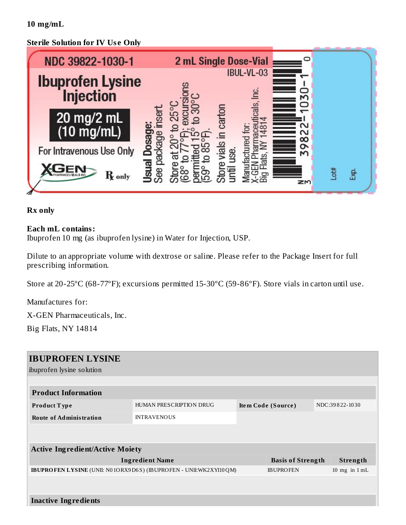**10 mg/mL**

### **Sterile Solution for IV Us e Only**



#### **Rx only**

#### **Each mL contains:**

Ibuprofen 10 mg (as ibuprofen lysine) in Water for Injection, USP.

Dilute to an appropriate volume with dextrose or saline. Please refer to the Package Insert for full prescribing information.

Store at 20-25ºC (68-77ºF); excursions permitted 15-30ºC (59-86ºF). Store vials in carton until use.

Manufactures for:

X-GEN Pharmaceuticals, Inc.

Big Flats, NY 14814

| <b>IBUPROFEN LYSINE</b>                                                  |                         |                    |                          |  |                   |  |
|--------------------------------------------------------------------------|-------------------------|--------------------|--------------------------|--|-------------------|--|
| ibuprofen lysine solution                                                |                         |                    |                          |  |                   |  |
|                                                                          |                         |                    |                          |  |                   |  |
| <b>Product Information</b>                                               |                         |                    |                          |  |                   |  |
| <b>Product Type</b>                                                      | HUMAN PRESCRIPTION DRUG | Item Code (Source) |                          |  | NDC:39822-1030    |  |
| <b>Route of Administration</b>                                           | <b>INTRAVENOUS</b>      |                    |                          |  |                   |  |
|                                                                          |                         |                    |                          |  |                   |  |
|                                                                          |                         |                    |                          |  |                   |  |
| <b>Active Ingredient/Active Moiety</b>                                   |                         |                    |                          |  |                   |  |
| <b>Ingredient Name</b>                                                   |                         |                    | <b>Basis of Strength</b> |  | Strength          |  |
| <b>IBUPROFEN LYSINE</b> (UNII: N01ORX9D6S) (IBUPROFEN - UNII:WK2XYI10QM) |                         |                    | <b>IBUPROFEN</b>         |  | $10$ mg in $1$ mL |  |
|                                                                          |                         |                    |                          |  |                   |  |
|                                                                          |                         |                    |                          |  |                   |  |
| <b>Inactive Ingredients</b>                                              |                         |                    |                          |  |                   |  |